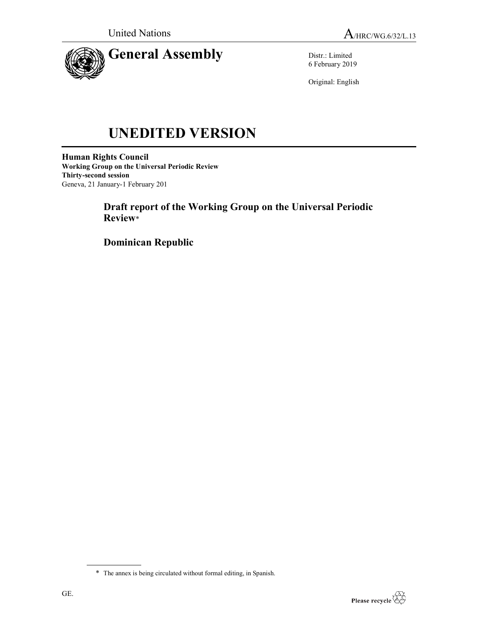

Distr.: Limited 6 February 2019

Original: English

# UNEDITED VERSION

Human Rights Council Working Group on the Universal Periodic Review Thirty-second session Geneva, 21 January-1 February 201

> Draft report of the Working Group on the Universal Periodic Review\*

Dominican Republic

<sup>\*</sup> The annex is being circulated without formal editing, in Spanish.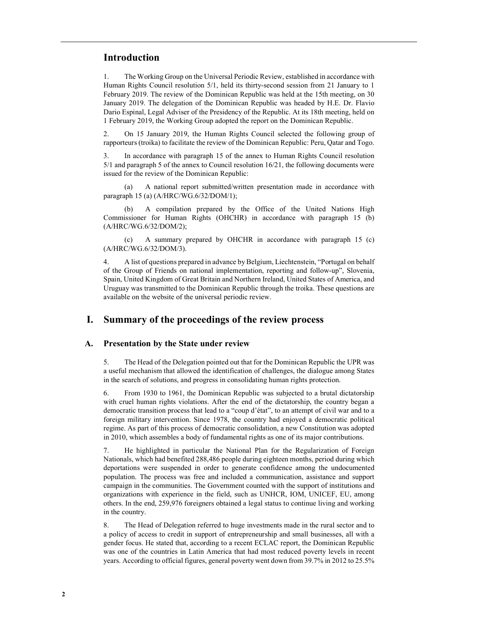## Introduction

1. The Working Group on the Universal Periodic Review, established in accordance with Human Rights Council resolution 5/1, held its thirty-second session from 21 January to 1 February 2019. The review of the Dominican Republic was held at the 15th meeting, on 30 January 2019. The delegation of the Dominican Republic was headed by H.E. Dr. Flavio Dario Espinal, Legal Adviser of the Presidency of the Republic. At its 18th meeting, held on 1 February 2019, the Working Group adopted the report on the Dominican Republic.

2. On 15 January 2019, the Human Rights Council selected the following group of rapporteurs (troika) to facilitate the review of the Dominican Republic: Peru, Qatar and Togo.

3. In accordance with paragraph 15 of the annex to Human Rights Council resolution 5/1 and paragraph 5 of the annex to Council resolution 16/21, the following documents were issued for the review of the Dominican Republic:

 (a) A national report submitted/written presentation made in accordance with paragraph 15 (a) (A/HRC/WG.6/32/DOM/1);

 (b) A compilation prepared by the Office of the United Nations High Commissioner for Human Rights (OHCHR) in accordance with paragraph 15 (b) (A/HRC/WG.6/32/DOM/2);

 (c) A summary prepared by OHCHR in accordance with paragraph 15 (c) (A/HRC/WG.6/32/DOM/3).

4. A list of questions prepared in advance by Belgium, Liechtenstein, "Portugal on behalf of the Group of Friends on national implementation, reporting and follow-up", Slovenia, Spain, United Kingdom of Great Britain and Northern Ireland, United States of America, and Uruguay was transmitted to the Dominican Republic through the troika. These questions are available on the website of the universal periodic review.

# I. Summary of the proceedings of the review process

## A. Presentation by the State under review

5. The Head of the Delegation pointed out that for the Dominican Republic the UPR was a useful mechanism that allowed the identification of challenges, the dialogue among States in the search of solutions, and progress in consolidating human rights protection.

6. From 1930 to 1961, the Dominican Republic was subjected to a brutal dictatorship with cruel human rights violations. After the end of the dictatorship, the country began a democratic transition process that lead to a "coup d'état", to an attempt of civil war and to a foreign military intervention. Since 1978, the country had enjoyed a democratic political regime. As part of this process of democratic consolidation, a new Constitution was adopted in 2010, which assembles a body of fundamental rights as one of its major contributions.

7. He highlighted in particular the National Plan for the Regularization of Foreign Nationals, which had benefited 288,486 people during eighteen months, period during which deportations were suspended in order to generate confidence among the undocumented population. The process was free and included a communication, assistance and support campaign in the communities. The Government counted with the support of institutions and organizations with experience in the field, such as UNHCR, IOM, UNICEF, EU, among others. In the end, 259,976 foreigners obtained a legal status to continue living and working in the country.

8. The Head of Delegation referred to huge investments made in the rural sector and to a policy of access to credit in support of entrepreneurship and small businesses, all with a gender focus. He stated that, according to a recent ECLAC report, the Dominican Republic was one of the countries in Latin America that had most reduced poverty levels in recent years. According to official figures, general poverty went down from 39.7% in 2012 to 25.5%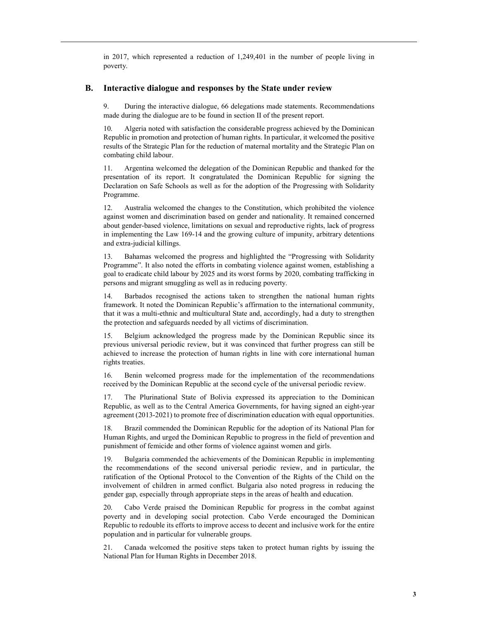in 2017, which represented a reduction of 1,249,401 in the number of people living in poverty.

#### B. Interactive dialogue and responses by the State under review

9. During the interactive dialogue, 66 delegations made statements. Recommendations made during the dialogue are to be found in section II of the present report.

10. Algeria noted with satisfaction the considerable progress achieved by the Dominican Republic in promotion and protection of human rights. In particular, it welcomed the positive results of the Strategic Plan for the reduction of maternal mortality and the Strategic Plan on combating child labour.

11. Argentina welcomed the delegation of the Dominican Republic and thanked for the presentation of its report. It congratulated the Dominican Republic for signing the Declaration on Safe Schools as well as for the adoption of the Progressing with Solidarity Programme.

12. Australia welcomed the changes to the Constitution, which prohibited the violence against women and discrimination based on gender and nationality. It remained concerned about gender-based violence, limitations on sexual and reproductive rights, lack of progress in implementing the Law 169-14 and the growing culture of impunity, arbitrary detentions and extra-judicial killings.

13. Bahamas welcomed the progress and highlighted the "Progressing with Solidarity Programme". It also noted the efforts in combating violence against women, establishing a goal to eradicate child labour by 2025 and its worst forms by 2020, combating trafficking in persons and migrant smuggling as well as in reducing poverty.

14. Barbados recognised the actions taken to strengthen the national human rights framework. It noted the Dominican Republic's affirmation to the international community, that it was a multi-ethnic and multicultural State and, accordingly, had a duty to strengthen the protection and safeguards needed by all victims of discrimination.

15. Belgium acknowledged the progress made by the Dominican Republic since its previous universal periodic review, but it was convinced that further progress can still be achieved to increase the protection of human rights in line with core international human rights treaties.

16. Benin welcomed progress made for the implementation of the recommendations received by the Dominican Republic at the second cycle of the universal periodic review.

17. The Plurinational State of Bolivia expressed its appreciation to the Dominican Republic, as well as to the Central America Governments, for having signed an eight-year agreement (2013-2021) to promote free of discrimination education with equal opportunities.

18. Brazil commended the Dominican Republic for the adoption of its National Plan for Human Rights, and urged the Dominican Republic to progress in the field of prevention and punishment of femicide and other forms of violence against women and girls.

19. Bulgaria commended the achievements of the Dominican Republic in implementing the recommendations of the second universal periodic review, and in particular, the ratification of the Optional Protocol to the Convention of the Rights of the Child on the involvement of children in armed conflict. Bulgaria also noted progress in reducing the gender gap, especially through appropriate steps in the areas of health and education.

20. Cabo Verde praised the Dominican Republic for progress in the combat against poverty and in developing social protection. Cabo Verde encouraged the Dominican Republic to redouble its efforts to improve access to decent and inclusive work for the entire population and in particular for vulnerable groups.

21. Canada welcomed the positive steps taken to protect human rights by issuing the National Plan for Human Rights in December 2018.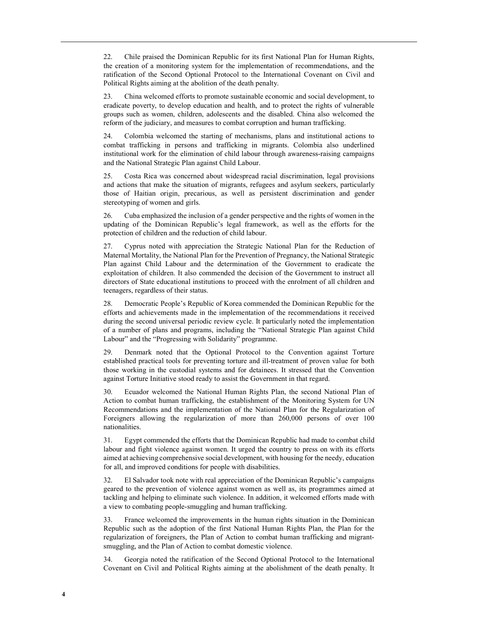22. Chile praised the Dominican Republic for its first National Plan for Human Rights, the creation of a monitoring system for the implementation of recommendations, and the ratification of the Second Optional Protocol to the International Covenant on Civil and Political Rights aiming at the abolition of the death penalty.

23. China welcomed efforts to promote sustainable economic and social development, to eradicate poverty, to develop education and health, and to protect the rights of vulnerable groups such as women, children, adolescents and the disabled. China also welcomed the reform of the judiciary, and measures to combat corruption and human trafficking.

24. Colombia welcomed the starting of mechanisms, plans and institutional actions to combat trafficking in persons and trafficking in migrants. Colombia also underlined institutional work for the elimination of child labour through awareness-raising campaigns and the National Strategic Plan against Child Labour.

25. Costa Rica was concerned about widespread racial discrimination, legal provisions and actions that make the situation of migrants, refugees and asylum seekers, particularly those of Haitian origin, precarious, as well as persistent discrimination and gender stereotyping of women and girls.

26. Cuba emphasized the inclusion of a gender perspective and the rights of women in the updating of the Dominican Republic's legal framework, as well as the efforts for the protection of children and the reduction of child labour.

27. Cyprus noted with appreciation the Strategic National Plan for the Reduction of Maternal Mortality, the National Plan for the Prevention of Pregnancy, the National Strategic Plan against Child Labour and the determination of the Government to eradicate the exploitation of children. It also commended the decision of the Government to instruct all directors of State educational institutions to proceed with the enrolment of all children and teenagers, regardless of their status.

28. Democratic People's Republic of Korea commended the Dominican Republic for the efforts and achievements made in the implementation of the recommendations it received during the second universal periodic review cycle. It particularly noted the implementation of a number of plans and programs, including the "National Strategic Plan against Child Labour" and the "Progressing with Solidarity" programme.

29. Denmark noted that the Optional Protocol to the Convention against Torture established practical tools for preventing torture and ill-treatment of proven value for both those working in the custodial systems and for detainees. It stressed that the Convention against Torture Initiative stood ready to assist the Government in that regard.

30. Ecuador welcomed the National Human Rights Plan, the second National Plan of Action to combat human trafficking, the establishment of the Monitoring System for UN Recommendations and the implementation of the National Plan for the Regularization of Foreigners allowing the regularization of more than 260,000 persons of over 100 nationalities.

31. Egypt commended the efforts that the Dominican Republic had made to combat child labour and fight violence against women. It urged the country to press on with its efforts aimed at achieving comprehensive social development, with housing for the needy, education for all, and improved conditions for people with disabilities.

32. El Salvador took note with real appreciation of the Dominican Republic's campaigns geared to the prevention of violence against women as well as, its programmes aimed at tackling and helping to eliminate such violence. In addition, it welcomed efforts made with a view to combating people-smuggling and human trafficking.

33. France welcomed the improvements in the human rights situation in the Dominican Republic such as the adoption of the first National Human Rights Plan, the Plan for the regularization of foreigners, the Plan of Action to combat human trafficking and migrantsmuggling, and the Plan of Action to combat domestic violence.

34. Georgia noted the ratification of the Second Optional Protocol to the International Covenant on Civil and Political Rights aiming at the abolishment of the death penalty. It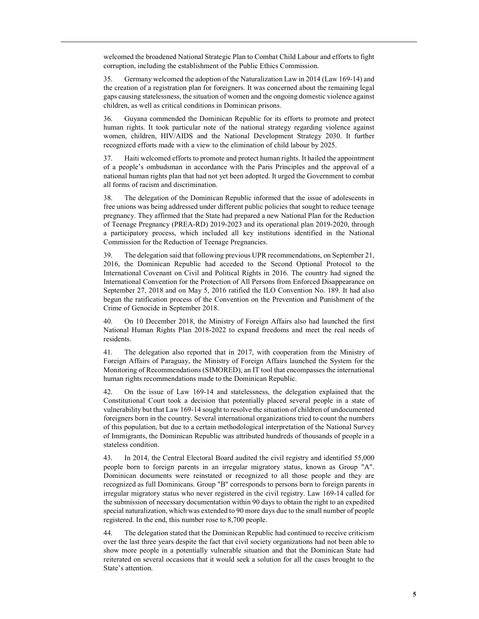welcomed the broadened National Strategic Plan to Combat Child Labour and efforts to fight corruption, including the establishment of the Public Ethics Commission.

35. Germany welcomed the adoption of the Naturalization Law in 2014 (Law 169-14) and the creation of a registration plan for foreigners. It was concerned about the remaining legal gaps causing statelessness, the situation of women and the ongoing domestic violence against children, as well as critical conditions in Dominican prisons.

36. Guyana commended the Dominican Republic for its efforts to promote and protect human rights. It took particular note of the national strategy regarding violence against women, children, HIV/AIDS and the National Development Strategy 2030. It further recognized efforts made with a view to the elimination of child labour by 2025.

37. Haiti welcomed efforts to promote and protect human rights. It hailed the appointment of a people's ombudsman in accordance with the Paris Principles and the approval of a national human rights plan that had not yet been adopted. It urged the Government to combat all forms of racism and discrimination.

38. The delegation of the Dominican Republic informed that the issue of adolescents in free unions was being addressed under different public policies that sought to reduce teenage pregnancy. They affirmed that the State had prepared a new National Plan for the Reduction of Teenage Pregnancy (PREA-RD) 2019-2023 and its operational plan 2019-2020, through a participatory process, which included all key institutions identified in the National Commission for the Reduction of Teenage Pregnancies.

39. The delegation said that following previous UPR recommendations, on September 21, 2016, the Dominican Republic had acceded to the Second Optional Protocol to the International Covenant on Civil and Political Rights in 2016. The country had signed the International Convention for the Protection of All Persons from Enforced Disappearance on September 27, 2018 and on May 5, 2016 ratified the ILO Convention No. 189. It had also begun the ratification process of the Convention on the Prevention and Punishment of the Crime of Genocide in September 2018.

40. On 10 December 2018, the Ministry of Foreign Affairs also had launched the first National Human Rights Plan 2018-2022 to expand freedoms and meet the real needs of residents.

41. The delegation also reported that in 2017, with cooperation from the Ministry of Foreign Affairs of Paraguay, the Ministry of Foreign Affairs launched the System for the Monitoring of Recommendations (SIMORED), an IT tool that encompasses the international human rights recommendations made to the Dominican Republic.

42. On the issue of Law 169-14 and statelessness, the delegation explained that the Constitutional Court took a decision that potentially placed several people in a state of vulnerability but that Law 169-14 sought to resolve the situation of children of undocumented foreigners born in the country. Several international organizations tried to count the numbers of this population, but due to a certain methodological interpretation of the National Survey of Immigrants, the Dominican Republic was attributed hundreds of thousands of people in a stateless condition.

43. In 2014, the Central Electoral Board audited the civil registry and identified 55,000 people born to foreign parents in an irregular migratory status, known as Group "A". Dominican documents were reinstated or recognized to all those people and they are recognized as full Dominicans. Group "B" corresponds to persons born to foreign parents in irregular migratory status who never registered in the civil registry. Law 169-14 called for the submission of necessary documentation within 90 days to obtain the right to an expedited special naturalization, which was extended to 90 more days due to the small number of people registered. In the end, this number rose to 8,700 people.

44. The delegation stated that the Dominican Republic had continued to receive criticism over the last three years despite the fact that civil society organizations had not been able to show more people in a potentially vulnerable situation and that the Dominican State had reiterated on several occasions that it would seek a solution for all the cases brought to the State's attention.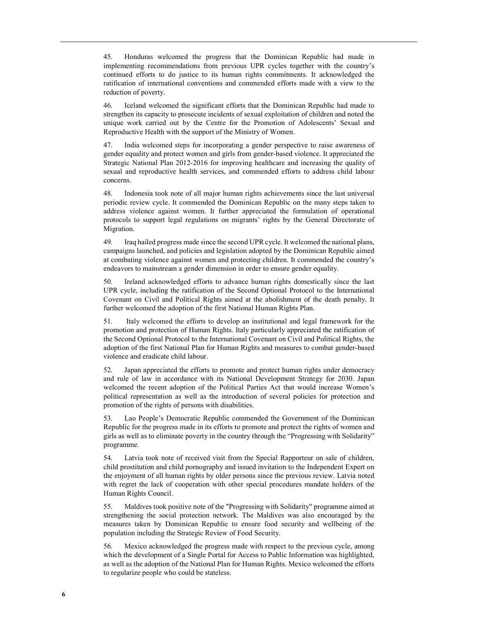45. Honduras welcomed the progress that the Dominican Republic had made in implementing recommendations from previous UPR cycles together with the country's continued efforts to do justice to its human rights commitments. It acknowledged the ratification of international conventions and commended efforts made with a view to the reduction of poverty.

46. Iceland welcomed the significant efforts that the Dominican Republic had made to strengthen its capacity to prosecute incidents of sexual exploitation of children and noted the unique work carried out by the Centre for the Promotion of Adolescents' Sexual and Reproductive Health with the support of the Ministry of Women.

47. India welcomed steps for incorporating a gender perspective to raise awareness of gender equality and protect women and girls from gender-based violence. It appreciated the Strategic National Plan 2012-2016 for improving healthcare and increasing the quality of sexual and reproductive health services, and commended efforts to address child labour concerns.

48. Indonesia took note of all major human rights achievements since the last universal periodic review cycle. It commended the Dominican Republic on the many steps taken to address violence against women. It further appreciated the formulation of operational protocols to support legal regulations on migrants' rights by the General Directorate of Migration.

49. Iraq hailed progress made since the second UPR cycle. It welcomed the national plans, campaigns launched, and policies and legislation adopted by the Dominican Republic aimed at combating violence against women and protecting children. It commended the country's endeavors to mainstream a gender dimension in order to ensure gender equality.

50. Ireland acknowledged efforts to advance human rights domestically since the last UPR cycle, including the ratification of the Second Optional Protocol to the International Covenant on Civil and Political Rights aimed at the abolishment of the death penalty. It further welcomed the adoption of the first National Human Rights Plan.

51. Italy welcomed the efforts to develop an institutional and legal framework for the promotion and protection of Human Rights. Italy particularly appreciated the ratification of the Second Optional Protocol to the International Covenant on Civil and Political Rights, the adoption of the first National Plan for Human Rights and measures to combat gender-based violence and eradicate child labour.

52. Japan appreciated the efforts to promote and protect human rights under democracy and rule of law in accordance with its National Development Strategy for 2030. Japan welcomed the recent adoption of the Political Parties Act that would increase Women's political representation as well as the introduction of several policies for protection and promotion of the rights of persons with disabilities.

53. Lao People's Democratic Republic commended the Government of the Dominican Republic for the progress made in its efforts to promote and protect the rights of women and girls as well as to eliminate poverty in the country through the "Progressing with Solidarity" programme.

54. Latvia took note of received visit from the Special Rapporteur on sale of children, child prostitution and child pornography and issued invitation to the Independent Expert on the enjoyment of all human rights by older persons since the previous review. Latvia noted with regret the lack of cooperation with other special procedures mandate holders of the Human Rights Council.

55. Maldives took positive note of the "Progressing with Solidarity" programme aimed at strengthening the social protection network. The Maldives was also encouraged by the measures taken by Dominican Republic to ensure food security and wellbeing of the population including the Strategic Review of Food Security.

56. Mexico acknowledged the progress made with respect to the previous cycle, among which the development of a Single Portal for Access to Public Information was highlighted, as well as the adoption of the National Plan for Human Rights. Mexico welcomed the efforts to regularize people who could be stateless.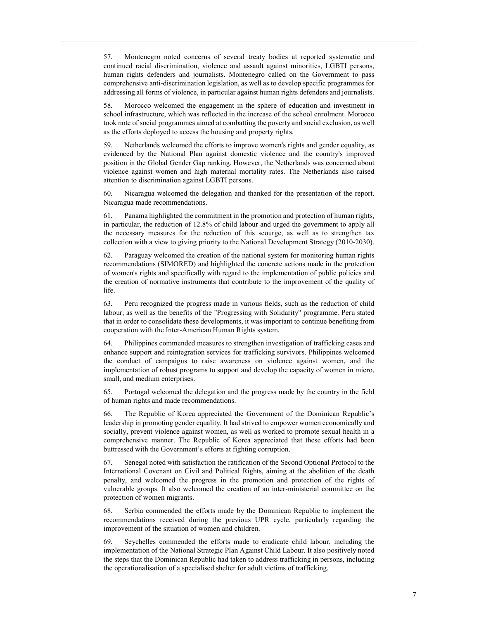57. Montenegro noted concerns of several treaty bodies at reported systematic and continued racial discrimination, violence and assault against minorities, LGBTI persons, human rights defenders and journalists. Montenegro called on the Government to pass comprehensive anti-discrimination legislation, as well as to develop specific programmes for addressing all forms of violence, in particular against human rights defenders and journalists.

58. Morocco welcomed the engagement in the sphere of education and investment in school infrastructure, which was reflected in the increase of the school enrolment. Morocco took note of social programmes aimed at combatting the poverty and social exclusion, as well as the efforts deployed to access the housing and property rights.

59. Netherlands welcomed the efforts to improve women's rights and gender equality, as evidenced by the National Plan against domestic violence and the country's improved position in the Global Gender Gap ranking. However, the Netherlands was concerned about violence against women and high maternal mortality rates. The Netherlands also raised attention to discrimination against LGBTI persons.

60. Nicaragua welcomed the delegation and thanked for the presentation of the report. Nicaragua made recommendations.

61. Panama highlighted the commitment in the promotion and protection of human rights, in particular, the reduction of 12.8% of child labour and urged the government to apply all the necessary measures for the reduction of this scourge, as well as to strengthen tax collection with a view to giving priority to the National Development Strategy (2010-2030).

62. Paraguay welcomed the creation of the national system for monitoring human rights recommendations (SIMORED) and highlighted the concrete actions made in the protection of women's rights and specifically with regard to the implementation of public policies and the creation of normative instruments that contribute to the improvement of the quality of life.

63. Peru recognized the progress made in various fields, such as the reduction of child labour, as well as the benefits of the "Progressing with Solidarity" programme. Peru stated that in order to consolidate these developments, it was important to continue benefiting from cooperation with the Inter-American Human Rights system.

64. Philippines commended measures to strengthen investigation of trafficking cases and enhance support and reintegration services for trafficking survivors. Philippines welcomed the conduct of campaigns to raise awareness on violence against women, and the implementation of robust programs to support and develop the capacity of women in micro, small, and medium enterprises.

65. Portugal welcomed the delegation and the progress made by the country in the field of human rights and made recommendations.

66. The Republic of Korea appreciated the Government of the Dominican Republic's leadership in promoting gender equality. It had strived to empower women economically and socially, prevent violence against women, as well as worked to promote sexual health in a comprehensive manner. The Republic of Korea appreciated that these efforts had been buttressed with the Government's efforts at fighting corruption.

67. Senegal noted with satisfaction the ratification of the Second Optional Protocol to the International Covenant on Civil and Political Rights, aiming at the abolition of the death penalty, and welcomed the progress in the promotion and protection of the rights of vulnerable groups. It also welcomed the creation of an inter-ministerial committee on the protection of women migrants.

68. Serbia commended the efforts made by the Dominican Republic to implement the recommendations received during the previous UPR cycle, particularly regarding the improvement of the situation of women and children.

69. Seychelles commended the efforts made to eradicate child labour, including the implementation of the National Strategic Plan Against Child Labour. It also positively noted the steps that the Dominican Republic had taken to address trafficking in persons, including the operationalisation of a specialised shelter for adult victims of trafficking.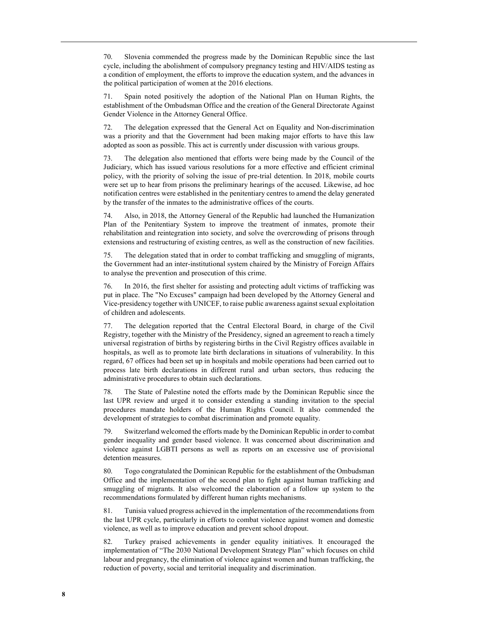70. Slovenia commended the progress made by the Dominican Republic since the last cycle, including the abolishment of compulsory pregnancy testing and HIV/AIDS testing as a condition of employment, the efforts to improve the education system, and the advances in the political participation of women at the 2016 elections.

71. Spain noted positively the adoption of the National Plan on Human Rights, the establishment of the Ombudsman Office and the creation of the General Directorate Against Gender Violence in the Attorney General Office.

72. The delegation expressed that the General Act on Equality and Non-discrimination was a priority and that the Government had been making major efforts to have this law adopted as soon as possible. This act is currently under discussion with various groups.

73. The delegation also mentioned that efforts were being made by the Council of the Judiciary, which has issued various resolutions for a more effective and efficient criminal policy, with the priority of solving the issue of pre-trial detention. In 2018, mobile courts were set up to hear from prisons the preliminary hearings of the accused. Likewise, ad hoc notification centres were established in the penitentiary centres to amend the delay generated by the transfer of the inmates to the administrative offices of the courts.

74. Also, in 2018, the Attorney General of the Republic had launched the Humanization Plan of the Penitentiary System to improve the treatment of inmates, promote their rehabilitation and reintegration into society, and solve the overcrowding of prisons through extensions and restructuring of existing centres, as well as the construction of new facilities.

75. The delegation stated that in order to combat trafficking and smuggling of migrants, the Government had an inter-institutional system chaired by the Ministry of Foreign Affairs to analyse the prevention and prosecution of this crime.

76. In 2016, the first shelter for assisting and protecting adult victims of trafficking was put in place. The "No Excuses" campaign had been developed by the Attorney General and Vice-presidency together with UNICEF, to raise public awareness against sexual exploitation of children and adolescents.

77. The delegation reported that the Central Electoral Board, in charge of the Civil Registry, together with the Ministry of the Presidency, signed an agreement to reach a timely universal registration of births by registering births in the Civil Registry offices available in hospitals, as well as to promote late birth declarations in situations of vulnerability. In this regard, 67 offices had been set up in hospitals and mobile operations had been carried out to process late birth declarations in different rural and urban sectors, thus reducing the administrative procedures to obtain such declarations.

78. The State of Palestine noted the efforts made by the Dominican Republic since the last UPR review and urged it to consider extending a standing invitation to the special procedures mandate holders of the Human Rights Council. It also commended the development of strategies to combat discrimination and promote equality.

79. Switzerland welcomed the efforts made by the Dominican Republic in order to combat gender inequality and gender based violence. It was concerned about discrimination and violence against LGBTI persons as well as reports on an excessive use of provisional detention measures.

80. Togo congratulated the Dominican Republic for the establishment of the Ombudsman Office and the implementation of the second plan to fight against human trafficking and smuggling of migrants. It also welcomed the elaboration of a follow up system to the recommendations formulated by different human rights mechanisms.

81. Tunisia valued progress achieved in the implementation of the recommendations from the last UPR cycle, particularly in efforts to combat violence against women and domestic violence, as well as to improve education and prevent school dropout.

82. Turkey praised achievements in gender equality initiatives. It encouraged the implementation of "The 2030 National Development Strategy Plan" which focuses on child labour and pregnancy, the elimination of violence against women and human trafficking, the reduction of poverty, social and territorial inequality and discrimination.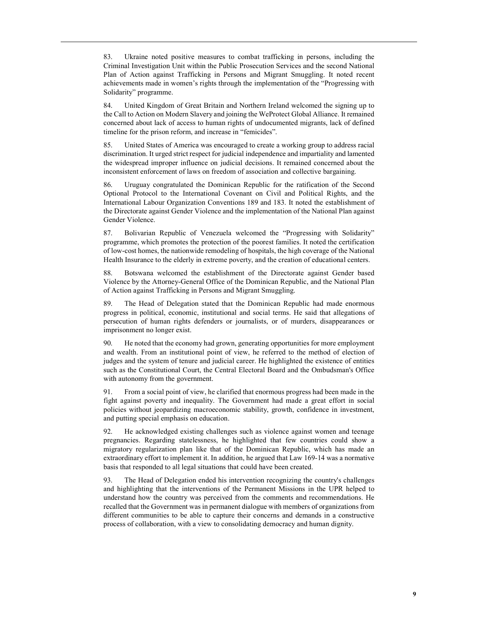83. Ukraine noted positive measures to combat trafficking in persons, including the Criminal Investigation Unit within the Public Prosecution Services and the second National Plan of Action against Trafficking in Persons and Migrant Smuggling. It noted recent achievements made in women's rights through the implementation of the "Progressing with Solidarity" programme.

84. United Kingdom of Great Britain and Northern Ireland welcomed the signing up to the Call to Action on Modern Slavery and joining the WeProtect Global Alliance. It remained concerned about lack of access to human rights of undocumented migrants, lack of defined timeline for the prison reform, and increase in "femicides".

85. United States of America was encouraged to create a working group to address racial discrimination. It urged strict respect for judicial independence and impartiality and lamented the widespread improper influence on judicial decisions. It remained concerned about the inconsistent enforcement of laws on freedom of association and collective bargaining.

86. Uruguay congratulated the Dominican Republic for the ratification of the Second Optional Protocol to the International Covenant on Civil and Political Rights, and the International Labour Organization Conventions 189 and 183. It noted the establishment of the Directorate against Gender Violence and the implementation of the National Plan against Gender Violence.

87. Bolivarian Republic of Venezuela welcomed the "Progressing with Solidarity" programme, which promotes the protection of the poorest families. It noted the certification of low-cost homes, the nationwide remodeling of hospitals, the high coverage of the National Health Insurance to the elderly in extreme poverty, and the creation of educational centers.

88. Botswana welcomed the establishment of the Directorate against Gender based Violence by the Attorney-General Office of the Dominican Republic, and the National Plan of Action against Trafficking in Persons and Migrant Smuggling.

89. The Head of Delegation stated that the Dominican Republic had made enormous progress in political, economic, institutional and social terms. He said that allegations of persecution of human rights defenders or journalists, or of murders, disappearances or imprisonment no longer exist.

90. He noted that the economy had grown, generating opportunities for more employment and wealth. From an institutional point of view, he referred to the method of election of judges and the system of tenure and judicial career. He highlighted the existence of entities such as the Constitutional Court, the Central Electoral Board and the Ombudsman's Office with autonomy from the government.

91. From a social point of view, he clarified that enormous progress had been made in the fight against poverty and inequality. The Government had made a great effort in social policies without jeopardizing macroeconomic stability, growth, confidence in investment, and putting special emphasis on education.

He acknowledged existing challenges such as violence against women and teenage pregnancies. Regarding statelessness, he highlighted that few countries could show a migratory regularization plan like that of the Dominican Republic, which has made an extraordinary effort to implement it. In addition, he argued that Law 169-14 was a normative basis that responded to all legal situations that could have been created.

93. The Head of Delegation ended his intervention recognizing the country's challenges and highlighting that the interventions of the Permanent Missions in the UPR helped to understand how the country was perceived from the comments and recommendations. He recalled that the Government was in permanent dialogue with members of organizations from different communities to be able to capture their concerns and demands in a constructive process of collaboration, with a view to consolidating democracy and human dignity.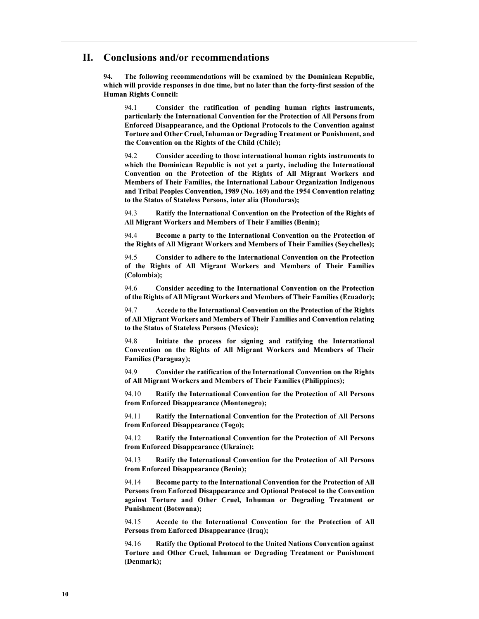## II. Conclusions and/or recommendations

94. The following recommendations will be examined by the Dominican Republic, which will provide responses in due time, but no later than the forty-first session of the Human Rights Council:

94.1 Consider the ratification of pending human rights instruments, particularly the International Convention for the Protection of All Persons from Enforced Disappearance, and the Optional Protocols to the Convention against Torture and Other Cruel, Inhuman or Degrading Treatment or Punishment, and the Convention on the Rights of the Child (Chile);

94.2 Consider acceding to those international human rights instruments to which the Dominican Republic is not yet a party, including the International Convention on the Protection of the Rights of All Migrant Workers and Members of Their Families, the International Labour Organization Indigenous and Tribal Peoples Convention, 1989 (No. 169) and the 1954 Convention relating to the Status of Stateless Persons, inter alia (Honduras);

94.3 Ratify the International Convention on the Protection of the Rights of All Migrant Workers and Members of Their Families (Benin);

94.4 Become a party to the International Convention on the Protection of the Rights of All Migrant Workers and Members of Their Families (Seychelles);

94.5 Consider to adhere to the International Convention on the Protection of the Rights of All Migrant Workers and Members of Their Families (Colombia);

94.6 Consider acceding to the International Convention on the Protection of the Rights of All Migrant Workers and Members of Their Families (Ecuador);

94.7 Accede to the International Convention on the Protection of the Rights of All Migrant Workers and Members of Their Families and Convention relating to the Status of Stateless Persons (Mexico);

94.8 Initiate the process for signing and ratifying the International Convention on the Rights of All Migrant Workers and Members of Their Families (Paraguay);

94.9 Consider the ratification of the International Convention on the Rights of All Migrant Workers and Members of Their Families (Philippines);

94.10 Ratify the International Convention for the Protection of All Persons from Enforced Disappearance (Montenegro);

94.11 Ratify the International Convention for the Protection of All Persons from Enforced Disappearance (Togo);

94.12 Ratify the International Convention for the Protection of All Persons from Enforced Disappearance (Ukraine);

94.13 Ratify the International Convention for the Protection of All Persons from Enforced Disappearance (Benin);

94.14 Become party to the International Convention for the Protection of All Persons from Enforced Disappearance and Optional Protocol to the Convention against Torture and Other Cruel, Inhuman or Degrading Treatment or Punishment (Botswana);

94.15 Accede to the International Convention for the Protection of All Persons from Enforced Disappearance (Iraq);

94.16 Ratify the Optional Protocol to the United Nations Convention against Torture and Other Cruel, Inhuman or Degrading Treatment or Punishment (Denmark);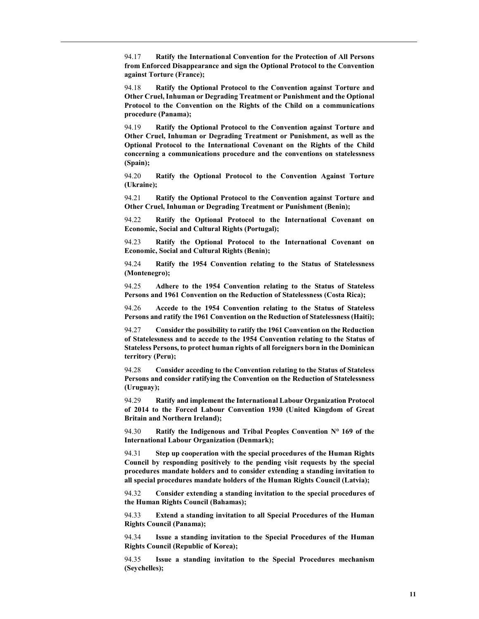94.17 Ratify the International Convention for the Protection of All Persons from Enforced Disappearance and sign the Optional Protocol to the Convention against Torture (France);

94.18 Ratify the Optional Protocol to the Convention against Torture and Other Cruel, Inhuman or Degrading Treatment or Punishment and the Optional Protocol to the Convention on the Rights of the Child on a communications procedure (Panama);

94.19 Ratify the Optional Protocol to the Convention against Torture and Other Cruel, Inhuman or Degrading Treatment or Punishment, as well as the Optional Protocol to the International Covenant on the Rights of the Child concerning a communications procedure and the conventions on statelessness (Spain);

94.20 Ratify the Optional Protocol to the Convention Against Torture (Ukraine);

94.21 Ratify the Optional Protocol to the Convention against Torture and Other Cruel, Inhuman or Degrading Treatment or Punishment (Benin);

94.22 Ratify the Optional Protocol to the International Covenant on Economic, Social and Cultural Rights (Portugal);

94.23 Ratify the Optional Protocol to the International Covenant on Economic, Social and Cultural Rights (Benin);

94.24 Ratify the 1954 Convention relating to the Status of Statelessness (Montenegro);

94.25 Adhere to the 1954 Convention relating to the Status of Stateless Persons and 1961 Convention on the Reduction of Statelessness (Costa Rica);

94.26 Accede to the 1954 Convention relating to the Status of Stateless Persons and ratify the 1961 Convention on the Reduction of Statelessness (Haiti);

94.27 Consider the possibility to ratify the 1961 Convention on the Reduction of Statelessness and to accede to the 1954 Convention relating to the Status of Stateless Persons, to protect human rights of all foreigners born in the Dominican territory (Peru);

94.28 Consider acceding to the Convention relating to the Status of Stateless Persons and consider ratifying the Convention on the Reduction of Statelessness (Uruguay);

94.29 Ratify and implement the International Labour Organization Protocol of 2014 to the Forced Labour Convention 1930 (United Kingdom of Great Britain and Northern Ireland);

94.30 Ratify the Indigenous and Tribal Peoples Convention N° 169 of the International Labour Organization (Denmark);

94.31 Step up cooperation with the special procedures of the Human Rights Council by responding positively to the pending visit requests by the special procedures mandate holders and to consider extending a standing invitation to all special procedures mandate holders of the Human Rights Council (Latvia);

94.32 Consider extending a standing invitation to the special procedures of the Human Rights Council (Bahamas);

94.33 Extend a standing invitation to all Special Procedures of the Human Rights Council (Panama);

94.34 Issue a standing invitation to the Special Procedures of the Human Rights Council (Republic of Korea);

94.35 Issue a standing invitation to the Special Procedures mechanism (Seychelles);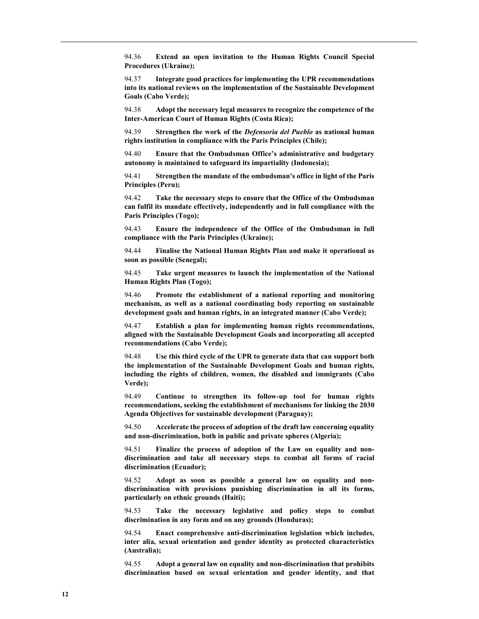94.36 Extend an open invitation to the Human Rights Council Special Procedures (Ukraine);

94.37 Integrate good practices for implementing the UPR recommendations into its national reviews on the implementation of the Sustainable Development Goals (Cabo Verde);

94.38 Adopt the necessary legal measures to recognize the competence of the Inter-American Court of Human Rights (Costa Rica);

94.39 Strengthen the work of the *Defensoria del Pueblo* as national human rights institution in compliance with the Paris Principles (Chile);

94.40 Ensure that the Ombudsman Office's administrative and budgetary autonomy is maintained to safeguard its impartiality (Indonesia);

94.41 Strengthen the mandate of the ombudsman's office in light of the Paris Principles (Peru);

94.42 Take the necessary steps to ensure that the Office of the Ombudsman can fulfil its mandate effectively, independently and in full compliance with the Paris Principles (Togo);

94.43 Ensure the independence of the Office of the Ombudsman in full compliance with the Paris Principles (Ukraine);

94.44 Finalise the National Human Rights Plan and make it operational as soon as possible (Senegal);

94.45 Take urgent measures to launch the implementation of the National Human Rights Plan (Togo);

94.46 Promote the establishment of a national reporting and monitoring mechanism, as well as a national coordinating body reporting on sustainable development goals and human rights, in an integrated manner (Cabo Verde);

94.47 Establish a plan for implementing human rights recommendations, aligned with the Sustainable Development Goals and incorporating all accepted recommendations (Cabo Verde);

94.48 Use this third cycle of the UPR to generate data that can support both the implementation of the Sustainable Development Goals and human rights, including the rights of children, women, the disabled and immigrants (Cabo Verde);

94.49 Continue to strengthen its follow-up tool for human rights recommendations, seeking the establishment of mechanisms for linking the 2030 Agenda Objectives for sustainable development (Paraguay);

94.50 Accelerate the process of adoption of the draft law concerning equality and non-discrimination, both in public and private spheres (Algeria);

94.51 Finalize the process of adoption of the Law on equality and nondiscrimination and take all necessary steps to combat all forms of racial discrimination (Ecuador);

94.52 Adopt as soon as possible a general law on equality and nondiscrimination with provisions punishing discrimination in all its forms, particularly on ethnic grounds (Haiti);

94.53 Take the necessary legislative and policy steps to combat discrimination in any form and on any grounds (Honduras);

94.54 Enact comprehensive anti-discrimination legislation which includes, inter alia, sexual orientation and gender identity as protected characteristics (Australia);

94.55 Adopt a general law on equality and non-discrimination that prohibits discrimination based on sexual orientation and gender identity, and that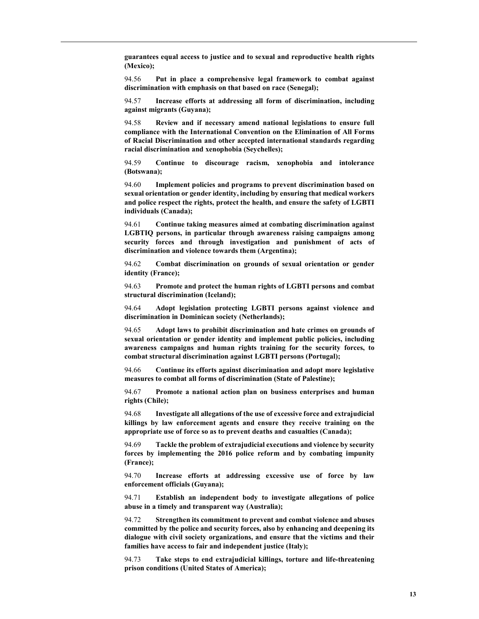guarantees equal access to justice and to sexual and reproductive health rights (Mexico);

94.56 Put in place a comprehensive legal framework to combat against discrimination with emphasis on that based on race (Senegal);

94.57 Increase efforts at addressing all form of discrimination, including against migrants (Guyana);

94.58 Review and if necessary amend national legislations to ensure full compliance with the International Convention on the Elimination of All Forms of Racial Discrimination and other accepted international standards regarding racial discrimination and xenophobia (Seychelles);

94.59 Continue to discourage racism, xenophobia and intolerance (Botswana);

94.60 Implement policies and programs to prevent discrimination based on sexual orientation or gender identity, including by ensuring that medical workers and police respect the rights, protect the health, and ensure the safety of LGBTI individuals (Canada);

94.61 Continue taking measures aimed at combating discrimination against LGBTIQ persons, in particular through awareness raising campaigns among security forces and through investigation and punishment of acts of discrimination and violence towards them (Argentina);

94.62 Combat discrimination on grounds of sexual orientation or gender identity (France);

94.63 Promote and protect the human rights of LGBTI persons and combat structural discrimination (Iceland);

94.64 Adopt legislation protecting LGBTI persons against violence and discrimination in Dominican society (Netherlands);

94.65 Adopt laws to prohibit discrimination and hate crimes on grounds of sexual orientation or gender identity and implement public policies, including awareness campaigns and human rights training for the security forces, to combat structural discrimination against LGBTI persons (Portugal);

94.66 Continue its efforts against discrimination and adopt more legislative measures to combat all forms of discrimination (State of Palestine);

94.67 Promote a national action plan on business enterprises and human rights (Chile);

94.68 Investigate all allegations of the use of excessive force and extrajudicial killings by law enforcement agents and ensure they receive training on the appropriate use of force so as to prevent deaths and casualties (Canada);

94.69 Tackle the problem of extrajudicial executions and violence by security forces by implementing the 2016 police reform and by combating impunity (France);

94.70 Increase efforts at addressing excessive use of force by law enforcement officials (Guyana);

94.71 Establish an independent body to investigate allegations of police abuse in a timely and transparent way (Australia);

94.72 Strengthen its commitment to prevent and combat violence and abuses committed by the police and security forces, also by enhancing and deepening its dialogue with civil society organizations, and ensure that the victims and their families have access to fair and independent justice (Italy);

94.73 Take steps to end extrajudicial killings, torture and life-threatening prison conditions (United States of America);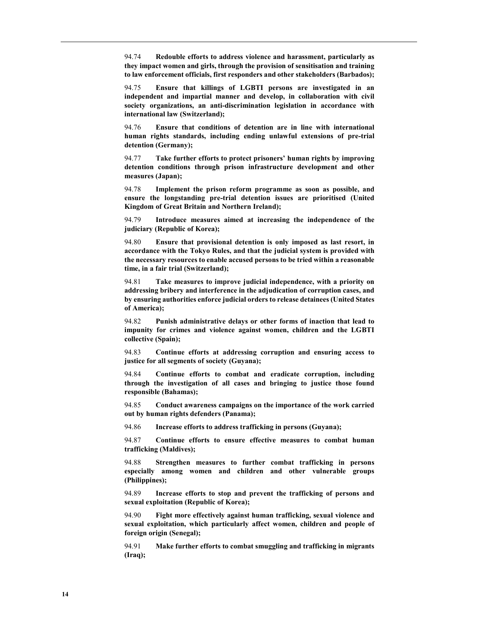94.74 Redouble efforts to address violence and harassment, particularly as they impact women and girls, through the provision of sensitisation and training to law enforcement officials, first responders and other stakeholders (Barbados);

94.75 Ensure that killings of LGBTI persons are investigated in an independent and impartial manner and develop, in collaboration with civil society organizations, an anti-discrimination legislation in accordance with international law (Switzerland);

94.76 Ensure that conditions of detention are in line with international human rights standards, including ending unlawful extensions of pre-trial detention (Germany);

94.77 Take further efforts to protect prisoners' human rights by improving detention conditions through prison infrastructure development and other measures (Japan);

94.78 Implement the prison reform programme as soon as possible, and ensure the longstanding pre-trial detention issues are prioritised (United Kingdom of Great Britain and Northern Ireland);

94.79 Introduce measures aimed at increasing the independence of the judiciary (Republic of Korea);

94.80 Ensure that provisional detention is only imposed as last resort, in accordance with the Tokyo Rules, and that the judicial system is provided with the necessary resources to enable accused persons to be tried within a reasonable time, in a fair trial (Switzerland);

94.81 Take measures to improve judicial independence, with a priority on addressing bribery and interference in the adjudication of corruption cases, and by ensuring authorities enforce judicial orders to release detainees (United States of America);

94.82 Punish administrative delays or other forms of inaction that lead to impunity for crimes and violence against women, children and the LGBTI collective (Spain);

94.83 Continue efforts at addressing corruption and ensuring access to justice for all segments of society (Guyana);

94.84 Continue efforts to combat and eradicate corruption, including through the investigation of all cases and bringing to justice those found responsible (Bahamas);

94.85 Conduct awareness campaigns on the importance of the work carried out by human rights defenders (Panama);

94.86 Increase efforts to address trafficking in persons (Guyana);

94.87 Continue efforts to ensure effective measures to combat human trafficking (Maldives);

94.88 Strengthen measures to further combat trafficking in persons especially among women and children and other vulnerable groups (Philippines);

94.89 Increase efforts to stop and prevent the trafficking of persons and sexual exploitation (Republic of Korea);

94.90 Fight more effectively against human trafficking, sexual violence and sexual exploitation, which particularly affect women, children and people of foreign origin (Senegal);

94.91 Make further efforts to combat smuggling and trafficking in migrants (Iraq);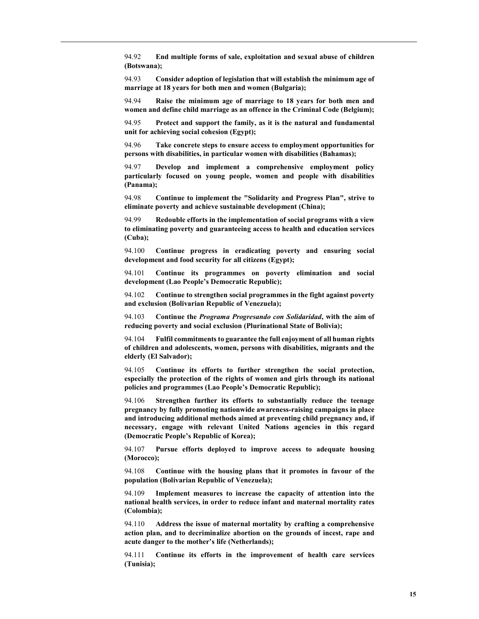94.92 End multiple forms of sale, exploitation and sexual abuse of children (Botswana);

94.93 Consider adoption of legislation that will establish the minimum age of marriage at 18 years for both men and women (Bulgaria);

94.94 Raise the minimum age of marriage to 18 years for both men and women and define child marriage as an offence in the Criminal Code (Belgium);

94.95 Protect and support the family, as it is the natural and fundamental unit for achieving social cohesion (Egypt);

94.96 Take concrete steps to ensure access to employment opportunities for persons with disabilities, in particular women with disabilities (Bahamas);

94.97 Develop and implement a comprehensive employment policy particularly focused on young people, women and people with disabilities (Panama);

94.98 Continue to implement the "Solidarity and Progress Plan", strive to eliminate poverty and achieve sustainable development (China);

94.99 Redouble efforts in the implementation of social programs with a view to eliminating poverty and guaranteeing access to health and education services (Cuba);

94.100 Continue progress in eradicating poverty and ensuring social development and food security for all citizens (Egypt);

94.101 Continue its programmes on poverty elimination and social development (Lao People's Democratic Republic);

94.102 Continue to strengthen social programmes in the fight against poverty and exclusion (Bolivarian Republic of Venezuela);

94.103 Continue the Programa Progresando con Solidaridad, with the aim of reducing poverty and social exclusion (Plurinational State of Bolivia);

94.104 Fulfil commitments to guarantee the full enjoyment of all human rights of children and adolescents, women, persons with disabilities, migrants and the elderly (El Salvador);

94.105 Continue its efforts to further strengthen the social protection, especially the protection of the rights of women and girls through its national policies and programmes (Lao People's Democratic Republic);

94.106 Strengthen further its efforts to substantially reduce the teenage pregnancy by fully promoting nationwide awareness-raising campaigns in place and introducing additional methods aimed at preventing child pregnancy and, if necessary, engage with relevant United Nations agencies in this regard (Democratic People's Republic of Korea);

94.107 Pursue efforts deployed to improve access to adequate housing (Morocco);

94.108 Continue with the housing plans that it promotes in favour of the population (Bolivarian Republic of Venezuela);

94.109 Implement measures to increase the capacity of attention into the national health services, in order to reduce infant and maternal mortality rates (Colombia);

94.110 Address the issue of maternal mortality by crafting a comprehensive action plan, and to decriminalize abortion on the grounds of incest, rape and acute danger to the mother's life (Netherlands);

94.111 Continue its efforts in the improvement of health care services (Tunisia);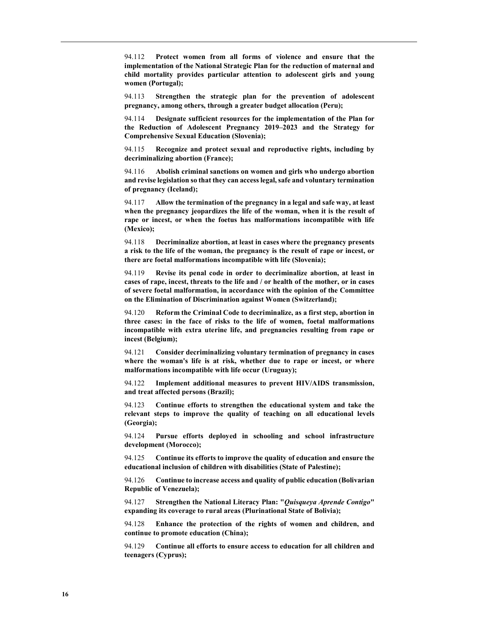94.112 Protect women from all forms of violence and ensure that the implementation of the National Strategic Plan for the reduction of maternal and child mortality provides particular attention to adolescent girls and young women (Portugal);

94.113 Strengthen the strategic plan for the prevention of adolescent pregnancy, among others, through a greater budget allocation (Peru);

94.114 Designate sufficient resources for the implementation of the Plan for the Reduction of Adolescent Pregnancy 2019–2023 and the Strategy for Comprehensive Sexual Education (Slovenia);

94.115 Recognize and protect sexual and reproductive rights, including by decriminalizing abortion (France);

94.116 Abolish criminal sanctions on women and girls who undergo abortion and revise legislation so that they can access legal, safe and voluntary termination of pregnancy (Iceland);

94.117 Allow the termination of the pregnancy in a legal and safe way, at least when the pregnancy jeopardizes the life of the woman, when it is the result of rape or incest, or when the foetus has malformations incompatible with life (Mexico);

94.118 Decriminalize abortion, at least in cases where the pregnancy presents a risk to the life of the woman, the pregnancy is the result of rape or incest, or there are foetal malformations incompatible with life (Slovenia);

94.119 Revise its penal code in order to decriminalize abortion, at least in cases of rape, incest, threats to the life and / or health of the mother, or in cases of severe foetal malformation, in accordance with the opinion of the Committee on the Elimination of Discrimination against Women (Switzerland);

94.120 Reform the Criminal Code to decriminalize, as a first step, abortion in three cases: in the face of risks to the life of women, foetal malformations incompatible with extra uterine life, and pregnancies resulting from rape or incest (Belgium);

94.121 Consider decriminalizing voluntary termination of pregnancy in cases where the woman's life is at risk, whether due to rape or incest, or where malformations incompatible with life occur (Uruguay);

94.122 Implement additional measures to prevent HIV/AIDS transmission, and treat affected persons (Brazil);

94.123 Continue efforts to strengthen the educational system and take the relevant steps to improve the quality of teaching on all educational levels (Georgia);

94.124 Pursue efforts deployed in schooling and school infrastructure development (Morocco);

94.125 Continue its efforts to improve the quality of education and ensure the educational inclusion of children with disabilities (State of Palestine);

94.126 Continue to increase access and quality of public education (Bolivarian Republic of Venezuela);

94.127 Strengthen the National Literacy Plan: "Quisqueya Aprende Contigo" expanding its coverage to rural areas (Plurinational State of Bolivia);

94.128 Enhance the protection of the rights of women and children, and continue to promote education (China);

94.129 Continue all efforts to ensure access to education for all children and teenagers (Cyprus);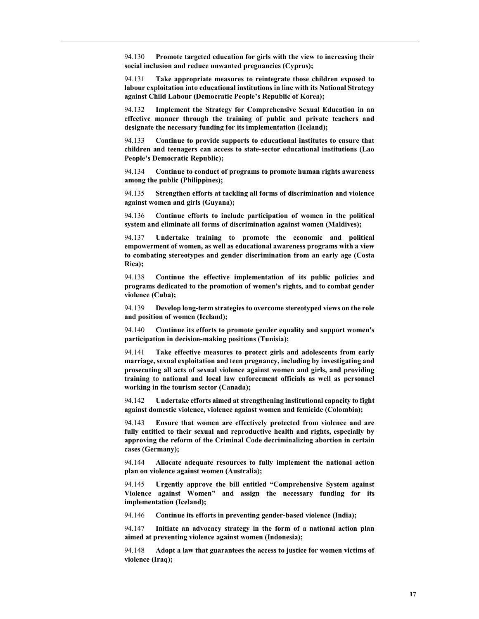94.130 Promote targeted education for girls with the view to increasing their social inclusion and reduce unwanted pregnancies (Cyprus);

94.131 Take appropriate measures to reintegrate those children exposed to labour exploitation into educational institutions in line with its National Strategy against Child Labour (Democratic People's Republic of Korea);

94.132 Implement the Strategy for Comprehensive Sexual Education in an effective manner through the training of public and private teachers and designate the necessary funding for its implementation (Iceland);

94.133 Continue to provide supports to educational institutes to ensure that children and teenagers can access to state-sector educational institutions (Lao People's Democratic Republic);

94.134 Continue to conduct of programs to promote human rights awareness among the public (Philippines);

94.135 Strengthen efforts at tackling all forms of discrimination and violence against women and girls (Guyana);

94.136 Continue efforts to include participation of women in the political system and eliminate all forms of discrimination against women (Maldives);

94.137 Undertake training to promote the economic and political empowerment of women, as well as educational awareness programs with a view to combating stereotypes and gender discrimination from an early age (Costa Rica);

94.138 Continue the effective implementation of its public policies and programs dedicated to the promotion of women's rights, and to combat gender violence (Cuba);

94.139 Develop long-term strategies to overcome stereotyped views on the role and position of women (Iceland);

94.140 Continue its efforts to promote gender equality and support women's participation in decision-making positions (Tunisia);

94.141 Take effective measures to protect girls and adolescents from early marriage, sexual exploitation and teen pregnancy, including by investigating and prosecuting all acts of sexual violence against women and girls, and providing training to national and local law enforcement officials as well as personnel working in the tourism sector (Canada);

94.142 Undertake efforts aimed at strengthening institutional capacity to fight against domestic violence, violence against women and femicide (Colombia);

94.143 Ensure that women are effectively protected from violence and are fully entitled to their sexual and reproductive health and rights, especially by approving the reform of the Criminal Code decriminalizing abortion in certain cases (Germany);

94.144 Allocate adequate resources to fully implement the national action plan on violence against women (Australia);

94.145 Urgently approve the bill entitled "Comprehensive System against Violence against Women" and assign the necessary funding for its implementation (Iceland);

94.146 Continue its efforts in preventing gender-based violence (India);

94.147 Initiate an advocacy strategy in the form of a national action plan aimed at preventing violence against women (Indonesia);

94.148 Adopt a law that guarantees the access to justice for women victims of violence (Iraq);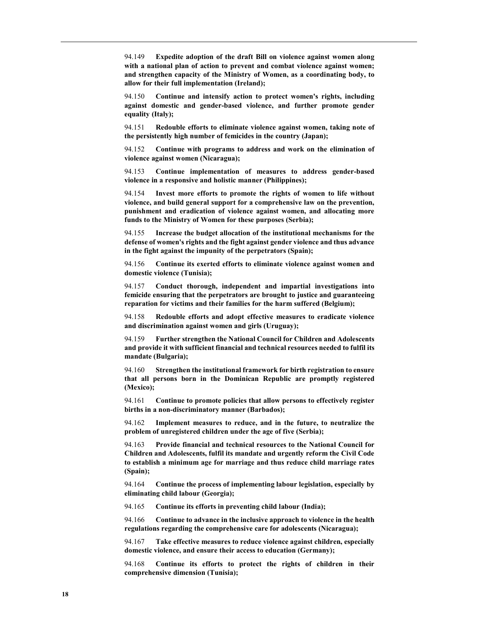94.149 Expedite adoption of the draft Bill on violence against women along with a national plan of action to prevent and combat violence against women; and strengthen capacity of the Ministry of Women, as a coordinating body, to allow for their full implementation (Ireland);

94.150 Continue and intensify action to protect women's rights, including against domestic and gender-based violence, and further promote gender equality (Italy);

94.151 Redouble efforts to eliminate violence against women, taking note of the persistently high number of femicides in the country (Japan);

94.152 Continue with programs to address and work on the elimination of violence against women (Nicaragua);

94.153 Continue implementation of measures to address gender-based violence in a responsive and holistic manner (Philippines);

94.154 Invest more efforts to promote the rights of women to life without violence, and build general support for a comprehensive law on the prevention, punishment and eradication of violence against women, and allocating more funds to the Ministry of Women for these purposes (Serbia);

94.155 Increase the budget allocation of the institutional mechanisms for the defense of women's rights and the fight against gender violence and thus advance in the fight against the impunity of the perpetrators (Spain);

94.156 Continue its exerted efforts to eliminate violence against women and domestic violence (Tunisia);

94.157 Conduct thorough, independent and impartial investigations into femicide ensuring that the perpetrators are brought to justice and guaranteeing reparation for victims and their families for the harm suffered (Belgium);

94.158 Redouble efforts and adopt effective measures to eradicate violence and discrimination against women and girls (Uruguay);

94.159 Further strengthen the National Council for Children and Adolescents and provide it with sufficient financial and technical resources needed to fulfil its mandate (Bulgaria);

94.160 Strengthen the institutional framework for birth registration to ensure that all persons born in the Dominican Republic are promptly registered (Mexico);

94.161 Continue to promote policies that allow persons to effectively register births in a non-discriminatory manner (Barbados);

94.162 Implement measures to reduce, and in the future, to neutralize the problem of unregistered children under the age of five (Serbia);

94.163 Provide financial and technical resources to the National Council for Children and Adolescents, fulfil its mandate and urgently reform the Civil Code to establish a minimum age for marriage and thus reduce child marriage rates (Spain);

94.164 Continue the process of implementing labour legislation, especially by eliminating child labour (Georgia);

94.165 Continue its efforts in preventing child labour (India);

94.166 Continue to advance in the inclusive approach to violence in the health regulations regarding the comprehensive care for adolescents (Nicaragua);

94.167 Take effective measures to reduce violence against children, especially domestic violence, and ensure their access to education (Germany);

94.168 Continue its efforts to protect the rights of children in their comprehensive dimension (Tunisia);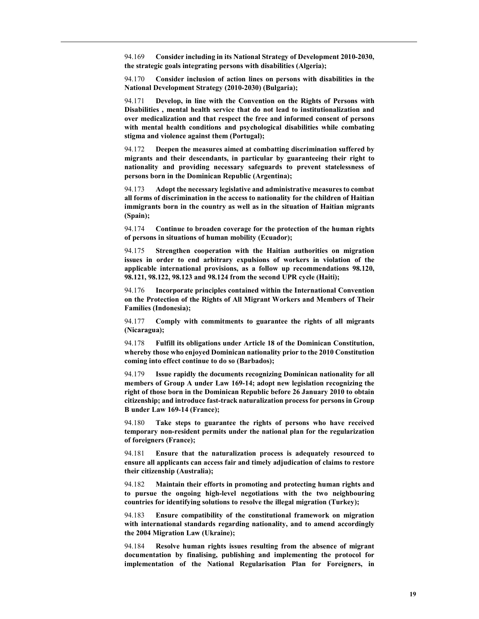94.169 Consider including in its National Strategy of Development 2010-2030, the strategic goals integrating persons with disabilities (Algeria);

94.170 Consider inclusion of action lines on persons with disabilities in the National Development Strategy (2010-2030) (Bulgaria);

94.171 Develop, in line with the Convention on the Rights of Persons with Disabilities , mental health service that do not lead to institutionalization and over medicalization and that respect the free and informed consent of persons with mental health conditions and psychological disabilities while combating stigma and violence against them (Portugal);

94.172 Deepen the measures aimed at combatting discrimination suffered by migrants and their descendants, in particular by guaranteeing their right to nationality and providing necessary safeguards to prevent statelessness of persons born in the Dominican Republic (Argentina);

94.173 Adopt the necessary legislative and administrative measures to combat all forms of discrimination in the access to nationality for the children of Haitian immigrants born in the country as well as in the situation of Haitian migrants (Spain);

94.174 Continue to broaden coverage for the protection of the human rights of persons in situations of human mobility (Ecuador);

94.175 Strengthen cooperation with the Haitian authorities on migration issues in order to end arbitrary expulsions of workers in violation of the applicable international provisions, as a follow up recommendations 98.120, 98.121, 98.122, 98.123 and 98.124 from the second UPR cycle (Haiti);

94.176 Incorporate principles contained within the International Convention on the Protection of the Rights of All Migrant Workers and Members of Their Families (Indonesia);

94.177 Comply with commitments to guarantee the rights of all migrants (Nicaragua);

94.178 Fulfill its obligations under Article 18 of the Dominican Constitution, whereby those who enjoyed Dominican nationality prior to the 2010 Constitution coming into effect continue to do so (Barbados);

94.179 Issue rapidly the documents recognizing Dominican nationality for all members of Group A under Law 169-14; adopt new legislation recognizing the right of those born in the Dominican Republic before 26 January 2010 to obtain citizenship; and introduce fast-track naturalization process for persons in Group B under Law 169-14 (France);

94.180 Take steps to guarantee the rights of persons who have received temporary non-resident permits under the national plan for the regularization of foreigners (France);

94.181 Ensure that the naturalization process is adequately resourced to ensure all applicants can access fair and timely adjudication of claims to restore their citizenship (Australia);

94.182 Maintain their efforts in promoting and protecting human rights and to pursue the ongoing high-level negotiations with the two neighbouring countries for identifying solutions to resolve the illegal migration (Turkey);

94.183 Ensure compatibility of the constitutional framework on migration with international standards regarding nationality, and to amend accordingly the 2004 Migration Law (Ukraine);

94.184 Resolve human rights issues resulting from the absence of migrant documentation by finalising, publishing and implementing the protocol for implementation of the National Regularisation Plan for Foreigners, in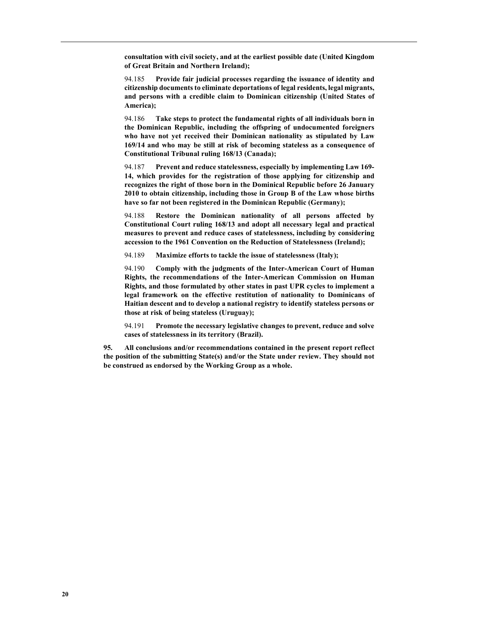consultation with civil society, and at the earliest possible date (United Kingdom of Great Britain and Northern Ireland);

94.185 Provide fair judicial processes regarding the issuance of identity and citizenship documents to eliminate deportations of legal residents, legal migrants, and persons with a credible claim to Dominican citizenship (United States of America);

94.186 Take steps to protect the fundamental rights of all individuals born in the Dominican Republic, including the offspring of undocumented foreigners who have not yet received their Dominican nationality as stipulated by Law 169/14 and who may be still at risk of becoming stateless as a consequence of Constitutional Tribunal ruling 168/13 (Canada);

94.187 Prevent and reduce statelessness, especially by implementing Law 169-14, which provides for the registration of those applying for citizenship and recognizes the right of those born in the Dominical Republic before 26 January 2010 to obtain citizenship, including those in Group B of the Law whose births have so far not been registered in the Dominican Republic (Germany);

94.188 Restore the Dominican nationality of all persons affected by Constitutional Court ruling 168/13 and adopt all necessary legal and practical measures to prevent and reduce cases of statelessness, including by considering accession to the 1961 Convention on the Reduction of Statelessness (Ireland);

94.189 Maximize efforts to tackle the issue of statelessness (Italy);

94.190 Comply with the judgments of the Inter-American Court of Human Rights, the recommendations of the Inter-American Commission on Human Rights, and those formulated by other states in past UPR cycles to implement a legal framework on the effective restitution of nationality to Dominicans of Haitian descent and to develop a national registry to identify stateless persons or those at risk of being stateless (Uruguay);

94.191 Promote the necessary legislative changes to prevent, reduce and solve cases of statelessness in its territory (Brazil).

95. All conclusions and/or recommendations contained in the present report reflect the position of the submitting State(s) and/or the State under review. They should not be construed as endorsed by the Working Group as a whole.